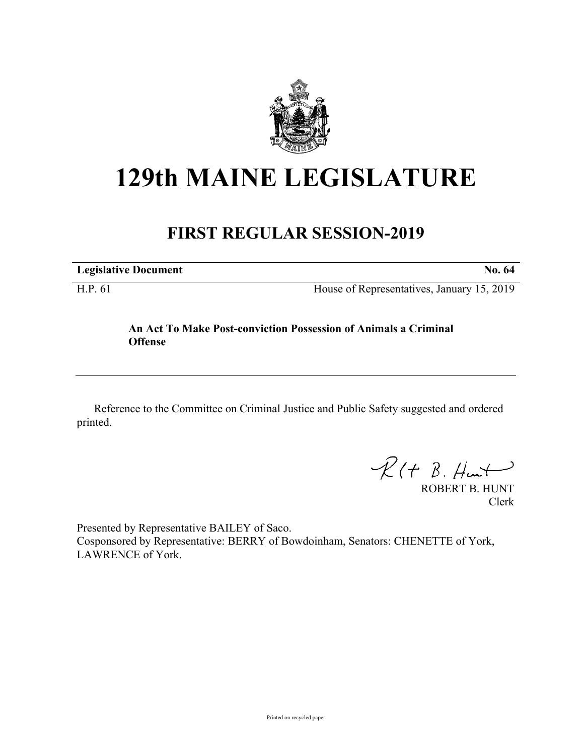

# **129th MAINE LEGISLATURE**

## **FIRST REGULAR SESSION-2019**

|  | <b>Legislative Document</b> |
|--|-----------------------------|
|--|-----------------------------|

H.P. 61 House of Representatives, January 15, 2019

#### **An Act To Make Post-conviction Possession of Animals a Criminal Offense**

Reference to the Committee on Criminal Justice and Public Safety suggested and ordered printed.

 $\mathcal{R}(t \; \mathcal{B}, \mathcal{H}_{\mathsf{int}})$ 

ROBERT B. HUNT Clerk

Presented by Representative BAILEY of Saco. Cosponsored by Representative: BERRY of Bowdoinham, Senators: CHENETTE of York, LAWRENCE of York.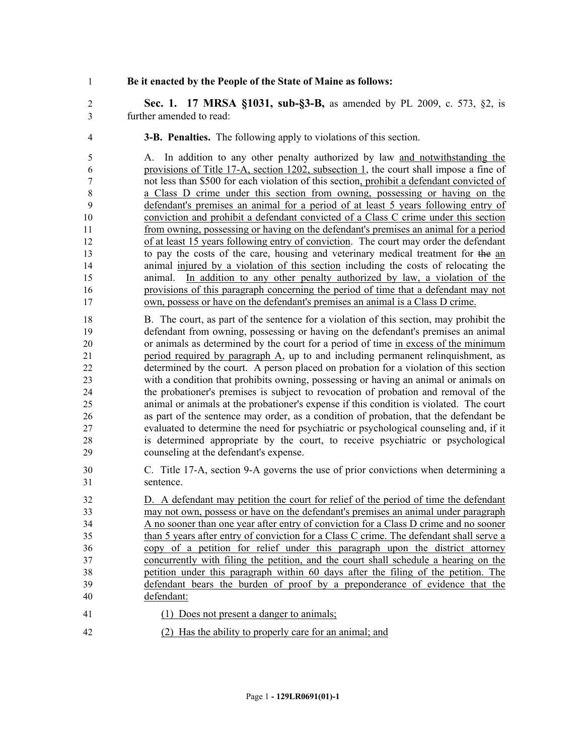#### **Be it enacted by the People of the State of Maine as follows:**

 **Sec. 1. 17 MRSA §1031, sub-§3-B,** as amended by PL 2009, c. 573, §2, is further amended to read:

**3-B. Penalties.** The following apply to violations of this section.

 A. In addition to any other penalty authorized by law and notwithstanding the provisions of Title 17-A, section 1202, subsection 1, the court shall impose a fine of not less than \$500 for each violation of this section, prohibit a defendant convicted of a Class D crime under this section from owning, possessing or having on the defendant's premises an animal for a period of at least 5 years following entry of conviction and prohibit a defendant convicted of a Class C crime under this section from owning, possessing or having on the defendant's premises an animal for a period of at least 15 years following entry of conviction. The court may order the defendant to pay the costs of the care, housing and veterinary medical treatment for the an animal injured by a violation of this section including the costs of relocating the animal. In addition to any other penalty authorized by law, a violation of the provisions of this paragraph concerning the period of time that a defendant may not own, possess or have on the defendant's premises an animal is a Class D crime.

 B. The court, as part of the sentence for a violation of this section, may prohibit the defendant from owning, possessing or having on the defendant's premises an animal or animals as determined by the court for a period of time in excess of the minimum period required by paragraph A, up to and including permanent relinquishment, as determined by the court. A person placed on probation for a violation of this section with a condition that prohibits owning, possessing or having an animal or animals on the probationer's premises is subject to revocation of probation and removal of the animal or animals at the probationer's expense if this condition is violated. The court as part of the sentence may order, as a condition of probation, that the defendant be evaluated to determine the need for psychiatric or psychological counseling and, if it is determined appropriate by the court, to receive psychiatric or psychological counseling at the defendant's expense.

 C. Title 17-A, section 9-A governs the use of prior convictions when determining a sentence.

 D. A defendant may petition the court for relief of the period of time the defendant may not own, possess or have on the defendant's premises an animal under paragraph A no sooner than one year after entry of conviction for a Class D crime and no sooner than 5 years after entry of conviction for a Class C crime. The defendant shall serve a copy of a petition for relief under this paragraph upon the district attorney concurrently with filing the petition, and the court shall schedule a hearing on the petition under this paragraph within 60 days after the filing of the petition. The defendant bears the burden of proof by a preponderance of evidence that the defendant:

- (1) Does not present a danger to animals;
- (2) Has the ability to properly care for an animal; and